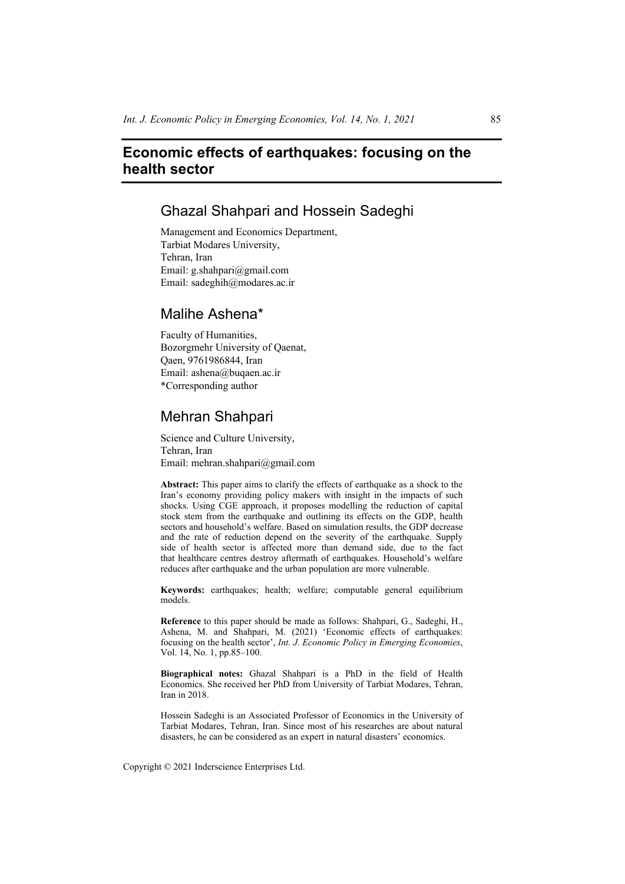# **Economic effects of earthquakes: focusing on the health sector**

# Ghazal Shahpari and Hossein Sadeghi

Management and Economics Department, Tarbiat Modares University, Tehran, Iran Email: g.shahpari@gmail.com Email: sadeghih@modares.ac.ir

## Malihe Ashena\*

Faculty of Humanities, Bozorgmehr University of Qaenat, Qaen, 9761986844, Iran Email: ashena@buqaen.ac.ir \*Corresponding author

# Mehran Shahpari

Science and Culture University, Tehran, Iran Email: mehran.shahpari@gmail.com

**Abstract:** This paper aims to clarify the effects of earthquake as a shock to the Iran's economy providing policy makers with insight in the impacts of such shocks. Using CGE approach, it proposes modelling the reduction of capital stock stem from the earthquake and outlining its effects on the GDP, health sectors and household's welfare. Based on simulation results, the GDP decrease and the rate of reduction depend on the severity of the earthquake. Supply side of health sector is affected more than demand side, due to the fact that healthcare centres destroy aftermath of earthquakes. Household's welfare reduces after earthquake and the urban population are more vulnerable.

**Keywords:** earthquakes; health; welfare; computable general equilibrium models.

**Reference** to this paper should be made as follows: Shahpari, G., Sadeghi, H., Ashena, M. and Shahpari, M. (2021) 'Economic effects of earthquakes: focusing on the health sector', *Int. J. Economic Policy in Emerging Economies*, Vol. 14, No. 1, pp.85–100.

**Biographical notes:** Ghazal Shahpari is a PhD in the field of Health Economics. She received her PhD from University of Tarbiat Modares, Tehran, Iran in 2018.

Hossein Sadeghi is an Associated Professor of Economics in the University of Tarbiat Modares, Tehran, Iran. Since most of his researches are about natural disasters, he can be considered as an expert in natural disasters' economics.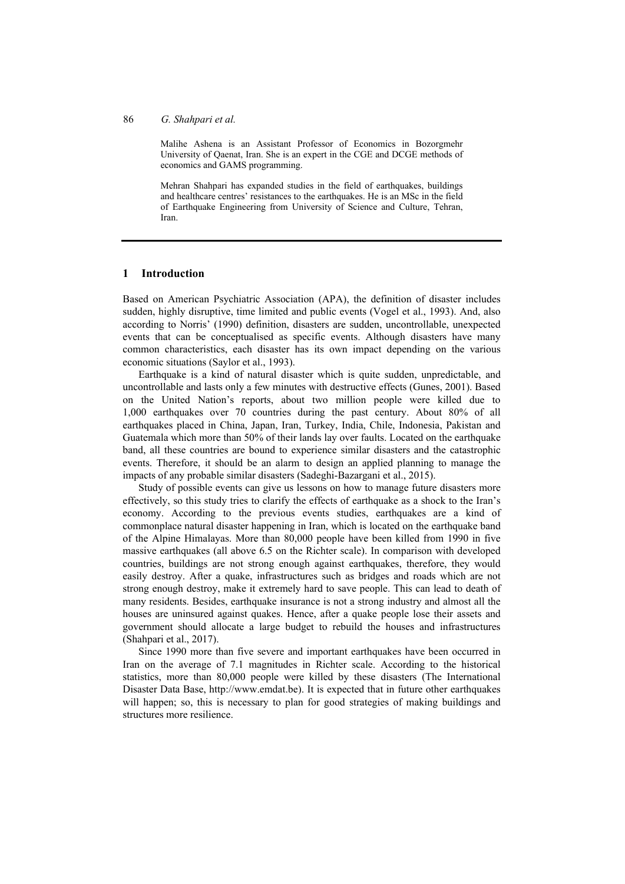#### 86 *G. Shahpari et al.*

Malihe Ashena is an Assistant Professor of Economics in Bozorgmehr University of Qaenat, Iran. She is an expert in the CGE and DCGE methods of economics and GAMS programming.

Mehran Shahpari has expanded studies in the field of earthquakes, buildings and healthcare centres' resistances to the earthquakes. He is an MSc in the field of Earthquake Engineering from University of Science and Culture, Tehran, Iran.

## **1 Introduction**

Based on American Psychiatric Association (APA), the definition of disaster includes sudden, highly disruptive, time limited and public events (Vogel et al., 1993). And, also according to Norris' (1990) definition, disasters are sudden, uncontrollable, unexpected events that can be conceptualised as specific events. Although disasters have many common characteristics, each disaster has its own impact depending on the various economic situations (Saylor et al., 1993).

Earthquake is a kind of natural disaster which is quite sudden, unpredictable, and uncontrollable and lasts only a few minutes with destructive effects (Gunes, 2001). Based on the United Nation's reports, about two million people were killed due to 1,000 earthquakes over 70 countries during the past century. About 80% of all earthquakes placed in China, Japan, Iran, Turkey, India, Chile, Indonesia, Pakistan and Guatemala which more than 50% of their lands lay over faults. Located on the earthquake band, all these countries are bound to experience similar disasters and the catastrophic events. Therefore, it should be an alarm to design an applied planning to manage the impacts of any probable similar disasters (Sadeghi-Bazargani et al., 2015).

Study of possible events can give us lessons on how to manage future disasters more effectively, so this study tries to clarify the effects of earthquake as a shock to the Iran's economy. According to the previous events studies, earthquakes are a kind of commonplace natural disaster happening in Iran, which is located on the earthquake band of the Alpine Himalayas. More than 80,000 people have been killed from 1990 in five massive earthquakes (all above 6.5 on the Richter scale). In comparison with developed countries, buildings are not strong enough against earthquakes, therefore, they would easily destroy. After a quake, infrastructures such as bridges and roads which are not strong enough destroy, make it extremely hard to save people. This can lead to death of many residents. Besides, earthquake insurance is not a strong industry and almost all the houses are uninsured against quakes. Hence, after a quake people lose their assets and government should allocate a large budget to rebuild the houses and infrastructures (Shahpari et al., 2017).

Since 1990 more than five severe and important earthquakes have been occurred in Iran on the average of 7.1 magnitudes in Richter scale. According to the historical statistics, more than 80,000 people were killed by these disasters (The International Disaster Data Base, http://www.emdat.be). It is expected that in future other earthquakes will happen; so, this is necessary to plan for good strategies of making buildings and structures more resilience.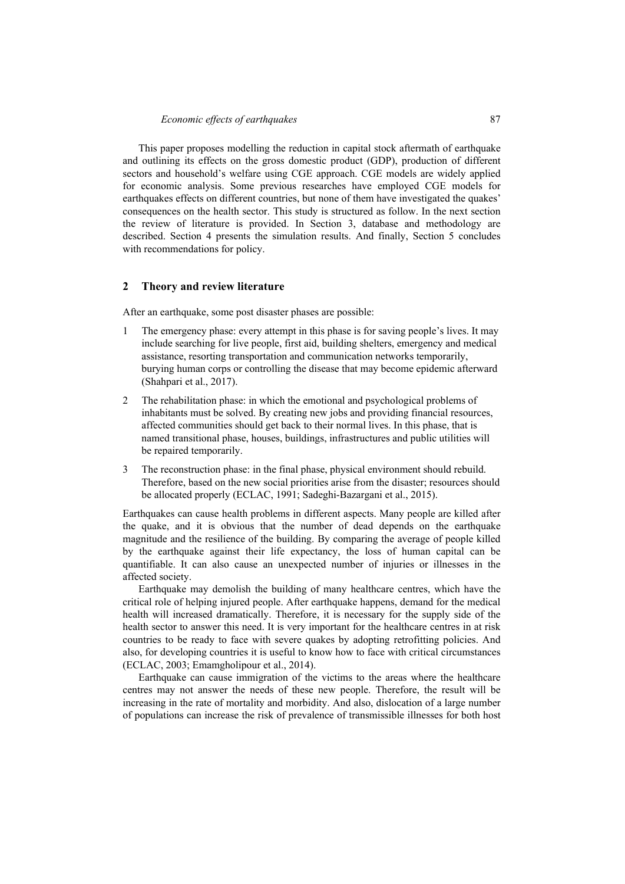This paper proposes modelling the reduction in capital stock aftermath of earthquake and outlining its effects on the gross domestic product (GDP), production of different sectors and household's welfare using CGE approach. CGE models are widely applied for economic analysis. Some previous researches have employed CGE models for earthquakes effects on different countries, but none of them have investigated the quakes' consequences on the health sector. This study is structured as follow. In the next section the review of literature is provided. In Section 3, database and methodology are described. Section 4 presents the simulation results. And finally, Section 5 concludes with recommendations for policy.

#### **2 Theory and review literature**

After an earthquake, some post disaster phases are possible:

- 1 The emergency phase: every attempt in this phase is for saving people's lives. It may include searching for live people, first aid, building shelters, emergency and medical assistance, resorting transportation and communication networks temporarily, burying human corps or controlling the disease that may become epidemic afterward (Shahpari et al., 2017).
- 2 The rehabilitation phase: in which the emotional and psychological problems of inhabitants must be solved. By creating new jobs and providing financial resources, affected communities should get back to their normal lives. In this phase, that is named transitional phase, houses, buildings, infrastructures and public utilities will be repaired temporarily.
- 3 The reconstruction phase: in the final phase, physical environment should rebuild. Therefore, based on the new social priorities arise from the disaster; resources should be allocated properly (ECLAC, 1991; Sadeghi-Bazargani et al., 2015).

Earthquakes can cause health problems in different aspects. Many people are killed after the quake, and it is obvious that the number of dead depends on the earthquake magnitude and the resilience of the building. By comparing the average of people killed by the earthquake against their life expectancy, the loss of human capital can be quantifiable. It can also cause an unexpected number of injuries or illnesses in the affected society.

Earthquake may demolish the building of many healthcare centres, which have the critical role of helping injured people. After earthquake happens, demand for the medical health will increased dramatically. Therefore, it is necessary for the supply side of the health sector to answer this need. It is very important for the healthcare centres in at risk countries to be ready to face with severe quakes by adopting retrofitting policies. And also, for developing countries it is useful to know how to face with critical circumstances (ECLAC, 2003; Emamgholipour et al., 2014).

Earthquake can cause immigration of the victims to the areas where the healthcare centres may not answer the needs of these new people. Therefore, the result will be increasing in the rate of mortality and morbidity. And also, dislocation of a large number of populations can increase the risk of prevalence of transmissible illnesses for both host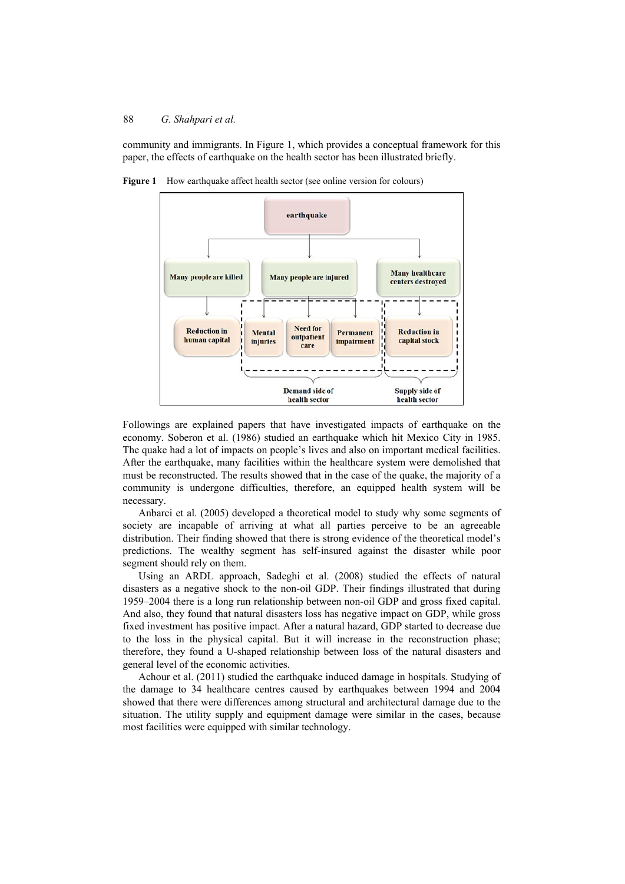community and immigrants. In Figure 1, which provides a conceptual framework for this paper, the effects of earthquake on the health sector has been illustrated briefly.



Figure 1 How earthquake affect health sector (see online version for colours)

Followings are explained papers that have investigated impacts of earthquake on the economy. Soberon et al. (1986) studied an earthquake which hit Mexico City in 1985. The quake had a lot of impacts on people's lives and also on important medical facilities. After the earthquake, many facilities within the healthcare system were demolished that must be reconstructed. The results showed that in the case of the quake, the majority of a community is undergone difficulties, therefore, an equipped health system will be necessary.

Anbarci et al. (2005) developed a theoretical model to study why some segments of society are incapable of arriving at what all parties perceive to be an agreeable distribution. Their finding showed that there is strong evidence of the theoretical model's predictions. The wealthy segment has self-insured against the disaster while poor segment should rely on them.

Using an ARDL approach, Sadeghi et al. (2008) studied the effects of natural disasters as a negative shock to the non-oil GDP. Their findings illustrated that during 1959–2004 there is a long run relationship between non-oil GDP and gross fixed capital. And also, they found that natural disasters loss has negative impact on GDP, while gross fixed investment has positive impact. After a natural hazard, GDP started to decrease due to the loss in the physical capital. But it will increase in the reconstruction phase; therefore, they found a U-shaped relationship between loss of the natural disasters and general level of the economic activities.

Achour et al. (2011) studied the earthquake induced damage in hospitals. Studying of the damage to 34 healthcare centres caused by earthquakes between 1994 and 2004 showed that there were differences among structural and architectural damage due to the situation. The utility supply and equipment damage were similar in the cases, because most facilities were equipped with similar technology.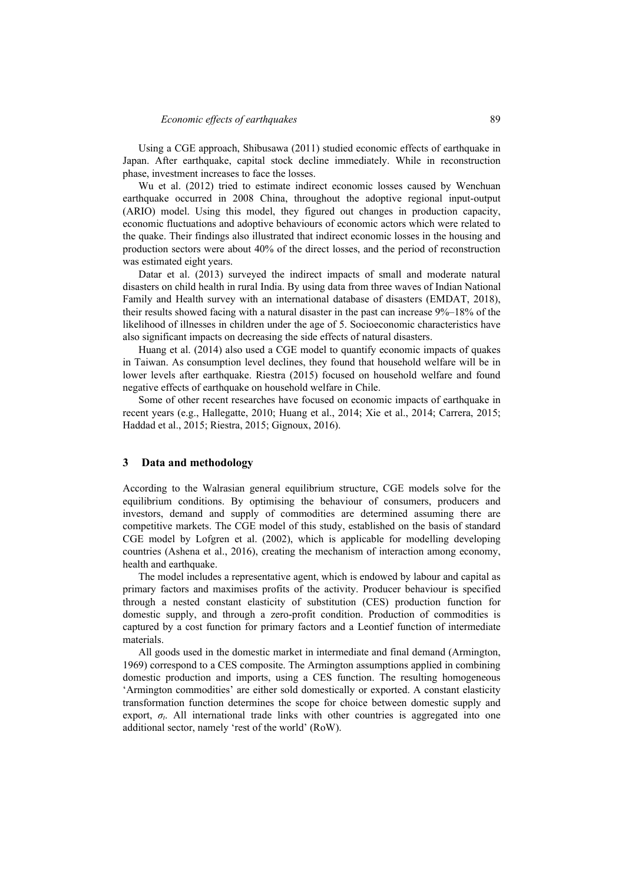Using a CGE approach, Shibusawa (2011) studied economic effects of earthquake in Japan. After earthquake, capital stock decline immediately. While in reconstruction phase, investment increases to face the losses.

Wu et al. (2012) tried to estimate indirect economic losses caused by Wenchuan earthquake occurred in 2008 China, throughout the adoptive regional input-output (ARIO) model. Using this model, they figured out changes in production capacity, economic fluctuations and adoptive behaviours of economic actors which were related to the quake. Their findings also illustrated that indirect economic losses in the housing and production sectors were about 40% of the direct losses, and the period of reconstruction was estimated eight years.

Datar et al. (2013) surveyed the indirect impacts of small and moderate natural disasters on child health in rural India. By using data from three waves of Indian National Family and Health survey with an international database of disasters (EMDAT, 2018), their results showed facing with a natural disaster in the past can increase 9%–18% of the likelihood of illnesses in children under the age of 5. Socioeconomic characteristics have also significant impacts on decreasing the side effects of natural disasters.

Huang et al. (2014) also used a CGE model to quantify economic impacts of quakes in Taiwan. As consumption level declines, they found that household welfare will be in lower levels after earthquake. Riestra (2015) focused on household welfare and found negative effects of earthquake on household welfare in Chile.

Some of other recent researches have focused on economic impacts of earthquake in recent years (e.g., Hallegatte, 2010; Huang et al., 2014; Xie et al., 2014; Carrera, 2015; Haddad et al., 2015; Riestra, 2015; Gignoux, 2016).

### **3 Data and methodology**

According to the Walrasian general equilibrium structure, CGE models solve for the equilibrium conditions. By optimising the behaviour of consumers, producers and investors, demand and supply of commodities are determined assuming there are competitive markets. The CGE model of this study, established on the basis of standard CGE model by Lofgren et al. (2002), which is applicable for modelling developing countries (Ashena et al., 2016), creating the mechanism of interaction among economy, health and earthquake.

The model includes a representative agent, which is endowed by labour and capital as primary factors and maximises profits of the activity. Producer behaviour is specified through a nested constant elasticity of substitution (CES) production function for domestic supply, and through a zero-profit condition. Production of commodities is captured by a cost function for primary factors and a Leontief function of intermediate materials.

All goods used in the domestic market in intermediate and final demand (Armington, 1969) correspond to a CES composite. The Armington assumptions applied in combining domestic production and imports, using a CES function. The resulting homogeneous 'Armington commodities' are either sold domestically or exported. A constant elasticity transformation function determines the scope for choice between domestic supply and export,  $\sigma_t$ . All international trade links with other countries is aggregated into one additional sector, namely 'rest of the world' (RoW).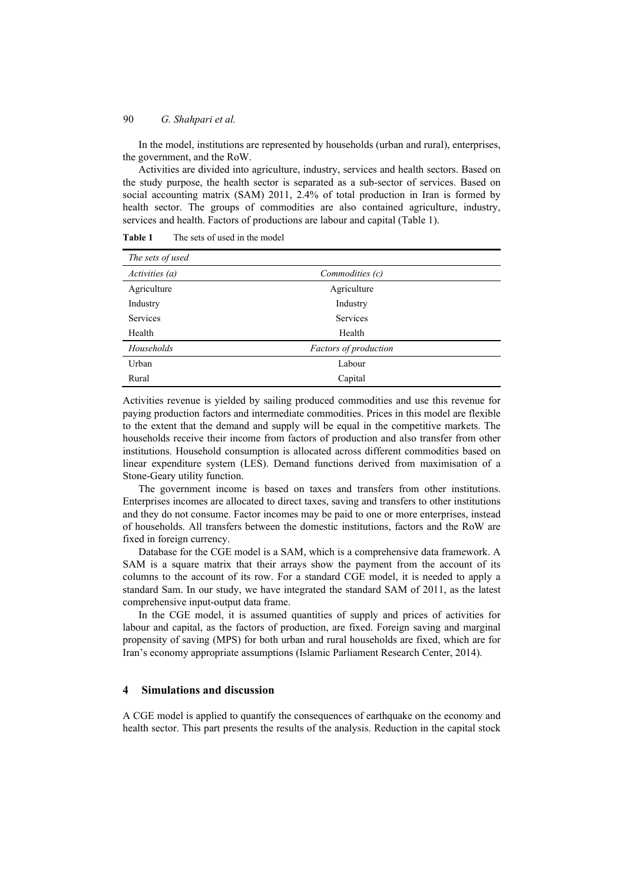In the model, institutions are represented by households (urban and rural), enterprises, the government, and the RoW.

Activities are divided into agriculture, industry, services and health sectors. Based on the study purpose, the health sector is separated as a sub-sector of services. Based on social accounting matrix (SAM) 2011, 2.4% of total production in Iran is formed by health sector. The groups of commodities are also contained agriculture, industry, services and health. Factors of productions are labour and capital (Table 1).

| The sets of used |                              |  |
|------------------|------------------------------|--|
| Activities (a)   | Commodities (c)              |  |
| Agriculture      | Agriculture                  |  |
| Industry         | Industry                     |  |
| <b>Services</b>  | <b>Services</b>              |  |
| Health           | Health                       |  |
| Households       | <b>Factors of production</b> |  |
| Urban            | Labour                       |  |
| Rural            | Capital                      |  |

**Table 1** The sets of used in the model

Activities revenue is yielded by sailing produced commodities and use this revenue for paying production factors and intermediate commodities. Prices in this model are flexible to the extent that the demand and supply will be equal in the competitive markets. The households receive their income from factors of production and also transfer from other institutions. Household consumption is allocated across different commodities based on linear expenditure system (LES). Demand functions derived from maximisation of a Stone-Geary utility function.

The government income is based on taxes and transfers from other institutions. Enterprises incomes are allocated to direct taxes, saving and transfers to other institutions and they do not consume. Factor incomes may be paid to one or more enterprises, instead of households. All transfers between the domestic institutions, factors and the RoW are fixed in foreign currency.

Database for the CGE model is a SAM, which is a comprehensive data framework. A SAM is a square matrix that their arrays show the payment from the account of its columns to the account of its row. For a standard CGE model, it is needed to apply a standard Sam. In our study, we have integrated the standard SAM of 2011, as the latest comprehensive input-output data frame.

In the CGE model, it is assumed quantities of supply and prices of activities for labour and capital, as the factors of production, are fixed. Foreign saving and marginal propensity of saving (MPS) for both urban and rural households are fixed, which are for Iran's economy appropriate assumptions (Islamic Parliament Research Center, 2014).

### **4 Simulations and discussion**

A CGE model is applied to quantify the consequences of earthquake on the economy and health sector. This part presents the results of the analysis. Reduction in the capital stock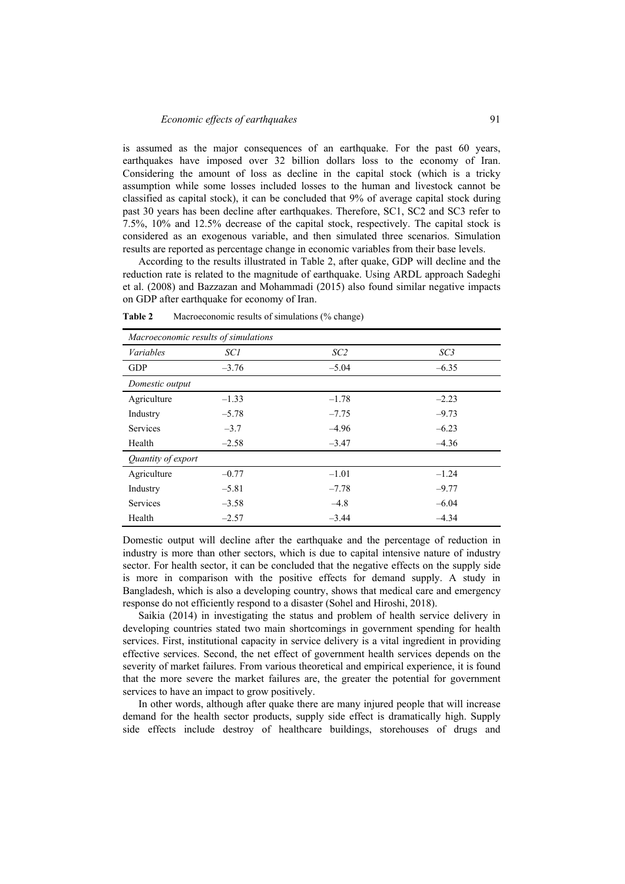is assumed as the major consequences of an earthquake. For the past 60 years, earthquakes have imposed over 32 billion dollars loss to the economy of Iran. Considering the amount of loss as decline in the capital stock (which is a tricky assumption while some losses included losses to the human and livestock cannot be classified as capital stock), it can be concluded that 9% of average capital stock during past 30 years has been decline after earthquakes. Therefore, SC1, SC2 and SC3 refer to 7.5%, 10% and 12.5% decrease of the capital stock, respectively. The capital stock is considered as an exogenous variable, and then simulated three scenarios. Simulation results are reported as percentage change in economic variables from their base levels.

According to the results illustrated in Table 2, after quake, GDP will decline and the reduction rate is related to the magnitude of earthquake. Using ARDL approach Sadeghi et al. (2008) and Bazzazan and Mohammadi (2015) also found similar negative impacts on GDP after earthquake for economy of Iran.

| Macroeconomic results of simulations |            |                 |         |
|--------------------------------------|------------|-----------------|---------|
| <b>Variables</b>                     | <i>SC1</i> | SC <sub>2</sub> | SC3     |
| <b>GDP</b>                           | $-3.76$    | $-5.04$         | $-6.35$ |
| Domestic output                      |            |                 |         |
| Agriculture                          | $-1.33$    | $-1.78$         | $-2.23$ |
| Industry                             | $-5.78$    | $-7.75$         | $-9.73$ |
| Services                             | $-3.7$     | $-4.96$         | $-6.23$ |
| Health                               | $-2.58$    | $-3.47$         | $-4.36$ |
| Quantity of export                   |            |                 |         |
| Agriculture                          | $-0.77$    | $-1.01$         | $-1.24$ |
| Industry                             | $-5.81$    | $-7.78$         | $-9.77$ |
| Services                             | $-3.58$    | $-4.8$          | $-6.04$ |
| Health                               | $-2.57$    | $-3.44$         | $-4.34$ |

**Table 2** Macroeconomic results of simulations (% change)

Domestic output will decline after the earthquake and the percentage of reduction in industry is more than other sectors, which is due to capital intensive nature of industry sector. For health sector, it can be concluded that the negative effects on the supply side is more in comparison with the positive effects for demand supply. A study in Bangladesh, which is also a developing country, shows that medical care and emergency response do not efficiently respond to a disaster (Sohel and Hiroshi, 2018).

Saikia (2014) in investigating the status and problem of health service delivery in developing countries stated two main shortcomings in government spending for health services. First, institutional capacity in service delivery is a vital ingredient in providing effective services. Second, the net effect of government health services depends on the severity of market failures. From various theoretical and empirical experience, it is found that the more severe the market failures are, the greater the potential for government services to have an impact to grow positively.

In other words, although after quake there are many injured people that will increase demand for the health sector products, supply side effect is dramatically high. Supply side effects include destroy of healthcare buildings, storehouses of drugs and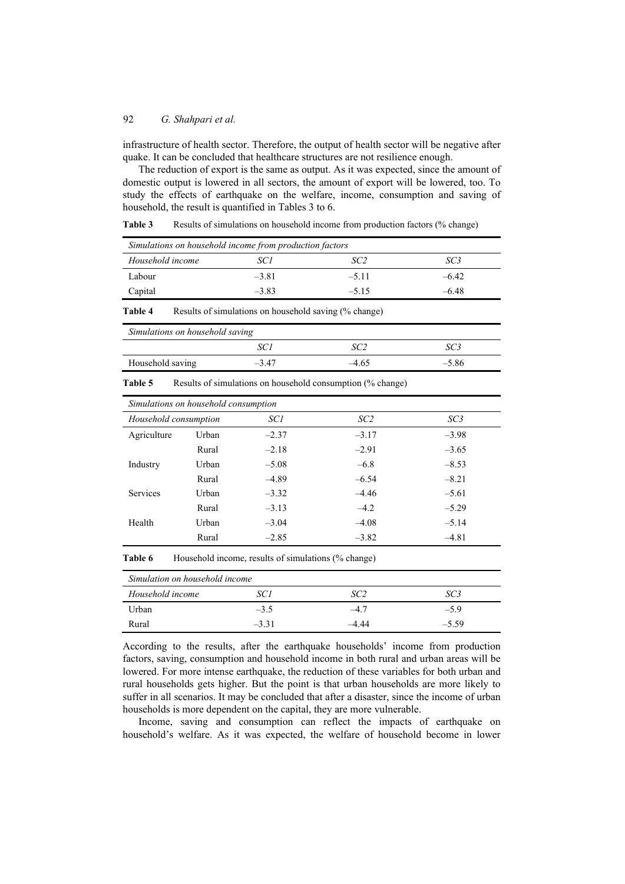infrastructure of health sector. Therefore, the output of health sector will be negative after quake. It can be concluded that healthcare structures are not resilience enough.

The reduction of export is the same as output. As it was expected, since the amount of domestic output is lowered in all sectors, the amount of export will be lowered, too. To study the effects of earthquake on the welfare, income, consumption and saving of household, the result is quantified in Tables 3 to 6.

| Simulations on household income from production factors |         |         |         |  |
|---------------------------------------------------------|---------|---------|---------|--|
| Household income                                        | SC 1    | SC 2    | SC 3    |  |
| Labour                                                  | $-3.81$ | $-5.11$ | $-6.42$ |  |
| Capital                                                 | $-3.83$ | $-5.15$ | $-6.48$ |  |

Table 3 Results of simulations on household income from production factors (% change)

#### Table 4 Results of simulations on household saving (% change)

| Simulations on household saving |         |      |         |
|---------------------------------|---------|------|---------|
|                                 | SC i    |      |         |
| Household saving                | $-3.47$ | 4.65 | $-5.86$ |

**Table 5** Results of simulations on household consumption (% change)

| Simulations on household consumption |       |         |                 |                 |
|--------------------------------------|-------|---------|-----------------|-----------------|
| Household consumption                |       | SC1     | SC <sub>2</sub> | SC <sub>3</sub> |
| Agriculture                          | Urban | $-2.37$ | $-3.17$         | $-3.98$         |
|                                      | Rural | $-2.18$ | $-2.91$         | $-3.65$         |
| Industry                             | Urban | $-5.08$ | $-6.8$          | $-8.53$         |
|                                      | Rural | $-4.89$ | $-6.54$         | $-8.21$         |
| <b>Services</b>                      | Urban | $-3.32$ | $-4.46$         | $-5.61$         |
|                                      | Rural | $-3.13$ | $-4.2$          | $-5.29$         |
| Health                               | Urban | $-3.04$ | $-4.08$         | $-5.14$         |
|                                      | Rural | $-2.85$ | $-3.82$         | $-4.81$         |

**Table 6** Household income, results of simulations (% change)

| Simulation on household income |         |       |         |
|--------------------------------|---------|-------|---------|
| Household income               | SC 1    | SC 2  | SC3     |
| Urban                          | $-3.5$  | -4.7  | $-5.9$  |
| Rural                          | $-3.31$ | -4.44 | $-5.59$ |

According to the results, after the earthquake households' income from production factors, saving, consumption and household income in both rural and urban areas will be lowered. For more intense earthquake, the reduction of these variables for both urban and rural households gets higher. But the point is that urban households are more likely to suffer in all scenarios. It may be concluded that after a disaster, since the income of urban households is more dependent on the capital, they are more vulnerable.

Income, saving and consumption can reflect the impacts of earthquake on household's welfare. As it was expected, the welfare of household become in lower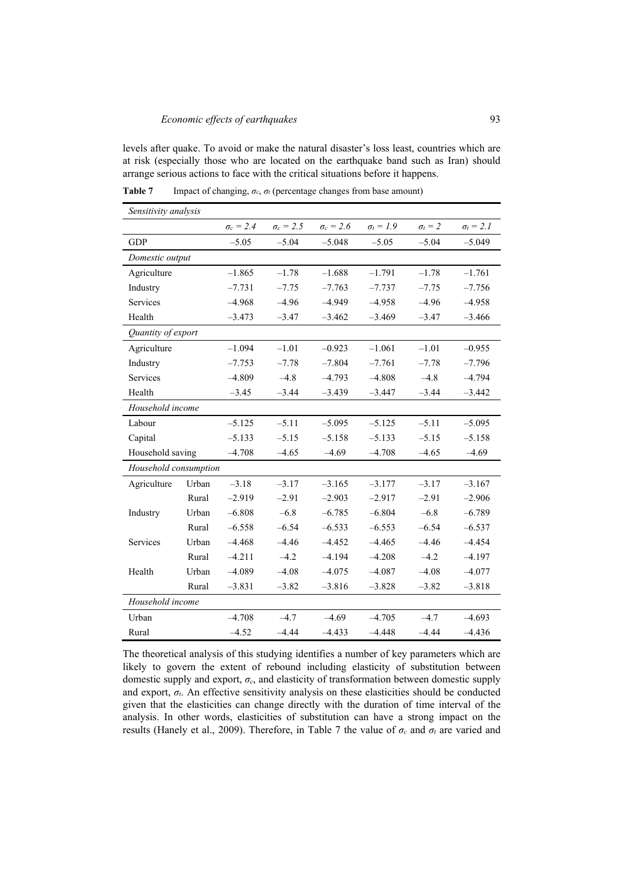levels after quake. To avoid or make the natural disaster's loss least, countries which are at risk (especially those who are located on the earthquake band such as Iran) should arrange serious actions to face with the critical situations before it happens.

| Sensitivity analysis  |       |                  |                  |                  |                  |                |                  |
|-----------------------|-------|------------------|------------------|------------------|------------------|----------------|------------------|
|                       |       | $\sigma_c = 2.4$ | $\sigma_c = 2.5$ | $\sigma_c = 2.6$ | $\sigma_t = 1.9$ | $\sigma_t = 2$ | $\sigma_t = 2.1$ |
| <b>GDP</b>            |       | $-5.05$          | $-5.04$          | $-5.048$         | $-5.05$          | $-5.04$        | $-5.049$         |
| Domestic output       |       |                  |                  |                  |                  |                |                  |
| Agriculture           |       | $-1.865$         | $-1.78$          | $-1.688$         | $-1.791$         | $-1.78$        | $-1.761$         |
| Industry              |       | $-7.731$         | $-7.75$          | $-7.763$         | $-7.737$         | $-7.75$        | $-7.756$         |
| Services              |       | $-4.968$         | $-4.96$          | $-4.949$         | $-4.958$         | $-4.96$        | $-4.958$         |
| Health                |       | $-3.473$         | $-3.47$          | $-3.462$         | $-3.469$         | $-3.47$        | $-3.466$         |
| Quantity of export    |       |                  |                  |                  |                  |                |                  |
| Agriculture           |       | $-1.094$         | $-1.01$          | $-0.923$         | $-1.061$         | $-1.01$        | $-0.955$         |
| Industry              |       | $-7.753$         | $-7.78$          | $-7.804$         | $-7.761$         | $-7.78$        | $-7.796$         |
| <b>Services</b>       |       | $-4.809$         | $-4.8$           | $-4.793$         | $-4.808$         | $-4.8$         | $-4.794$         |
| Health                |       | $-3.45$          | $-3.44$          | $-3.439$         | $-3.447$         | $-3.44$        | $-3.442$         |
| Household income      |       |                  |                  |                  |                  |                |                  |
| Labour                |       | $-5.125$         | $-5.11$          | $-5.095$         | $-5.125$         | $-5.11$        | $-5.095$         |
| Capital               |       | $-5.133$         | $-5.15$          | $-5.158$         | $-5.133$         | $-5.15$        | $-5.158$         |
| Household saving      |       | $-4.708$         | $-4.65$          | $-4.69$          | $-4.708$         | $-4.65$        | $-4.69$          |
| Household consumption |       |                  |                  |                  |                  |                |                  |
| Agriculture           | Urban | $-3.18$          | $-3.17$          | $-3.165$         | $-3.177$         | $-3.17$        | $-3.167$         |
|                       | Rural | $-2.919$         | $-2.91$          | $-2.903$         | $-2.917$         | $-2.91$        | $-2.906$         |
| Industry              | Urban | $-6.808$         | $-6.8$           | $-6.785$         | $-6.804$         | $-6.8$         | $-6.789$         |
|                       | Rural | $-6.558$         | $-6.54$          | $-6.533$         | $-6.553$         | $-6.54$        | $-6.537$         |
| Services              | Urban | $-4.468$         | $-4.46$          | $-4.452$         | $-4.465$         | $-4.46$        | $-4.454$         |
|                       | Rural | $-4.211$         | $-4.2$           | $-4.194$         | $-4.208$         | $-4.2$         | $-4.197$         |
| Health                | Urban | $-4.089$         | $-4.08$          | $-4.075$         | $-4.087$         | $-4.08$        | $-4.077$         |
|                       | Rural | $-3.831$         | $-3.82$          | $-3.816$         | $-3.828$         | $-3.82$        | $-3.818$         |
| Household income      |       |                  |                  |                  |                  |                |                  |
| Urban                 |       | $-4.708$         | $-4.7$           | $-4.69$          | $-4.705$         | $-4.7$         | $-4.693$         |
| Rural                 |       | $-4.52$          | $-4.44$          | $-4.433$         | $-4.448$         | $-4.44$        | $-4.436$         |

**Table 7** Impact of changing,  $\sigma_c$ ,  $\sigma_t$  (percentage changes from base amount)

The theoretical analysis of this studying identifies a number of key parameters which are likely to govern the extent of rebound including elasticity of substitution between domestic supply and export, *σc*, and elasticity of transformation between domestic supply and export,  $\sigma_t$ . An effective sensitivity analysis on these elasticities should be conducted given that the elasticities can change directly with the duration of time interval of the analysis. In other words, elasticities of substitution can have a strong impact on the results (Hanely et al., 2009). Therefore, in Table 7 the value of  $\sigma_c$  and  $\sigma_t$  are varied and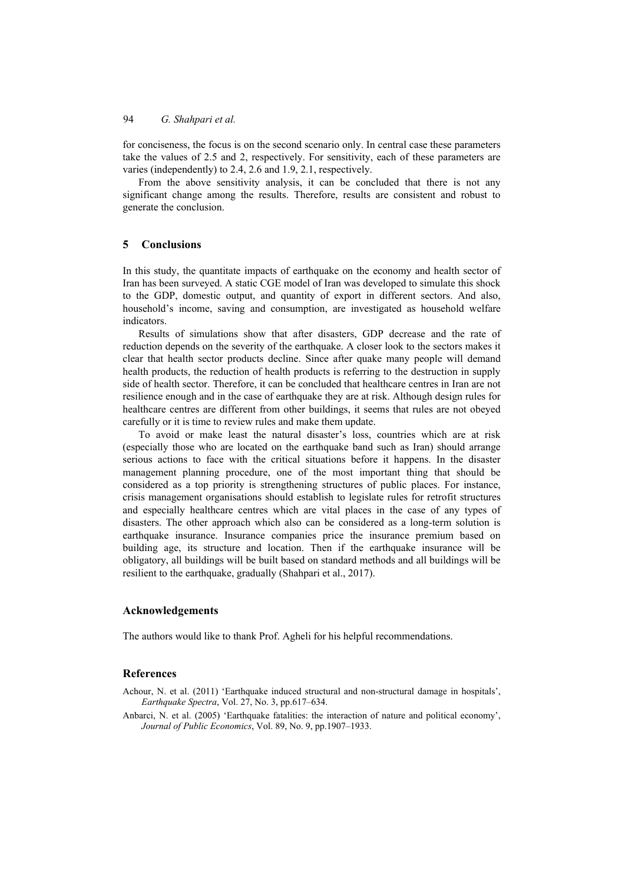for conciseness, the focus is on the second scenario only. In central case these parameters take the values of 2.5 and 2, respectively. For sensitivity, each of these parameters are varies (independently) to 2.4, 2.6 and 1.9, 2.1, respectively.

From the above sensitivity analysis, it can be concluded that there is not any significant change among the results. Therefore, results are consistent and robust to generate the conclusion.

## **5 Conclusions**

In this study, the quantitate impacts of earthquake on the economy and health sector of Iran has been surveyed. A static CGE model of Iran was developed to simulate this shock to the GDP, domestic output, and quantity of export in different sectors. And also, household's income, saving and consumption, are investigated as household welfare indicators.

Results of simulations show that after disasters, GDP decrease and the rate of reduction depends on the severity of the earthquake. A closer look to the sectors makes it clear that health sector products decline. Since after quake many people will demand health products, the reduction of health products is referring to the destruction in supply side of health sector. Therefore, it can be concluded that healthcare centres in Iran are not resilience enough and in the case of earthquake they are at risk. Although design rules for healthcare centres are different from other buildings, it seems that rules are not obeyed carefully or it is time to review rules and make them update.

To avoid or make least the natural disaster's loss, countries which are at risk (especially those who are located on the earthquake band such as Iran) should arrange serious actions to face with the critical situations before it happens. In the disaster management planning procedure, one of the most important thing that should be considered as a top priority is strengthening structures of public places. For instance, crisis management organisations should establish to legislate rules for retrofit structures and especially healthcare centres which are vital places in the case of any types of disasters. The other approach which also can be considered as a long-term solution is earthquake insurance. Insurance companies price the insurance premium based on building age, its structure and location. Then if the earthquake insurance will be obligatory, all buildings will be built based on standard methods and all buildings will be resilient to the earthquake, gradually (Shahpari et al., 2017).

## **Acknowledgements**

The authors would like to thank Prof. Agheli for his helpful recommendations.

### **References**

Achour, N. et al. (2011) 'Earthquake induced structural and non-structural damage in hospitals', *Earthquake Spectra*, Vol. 27, No. 3, pp.617–634.

Anbarci, N. et al. (2005) 'Earthquake fatalities: the interaction of nature and political economy', *Journal of Public Economics*, Vol. 89, No. 9, pp.1907–1933.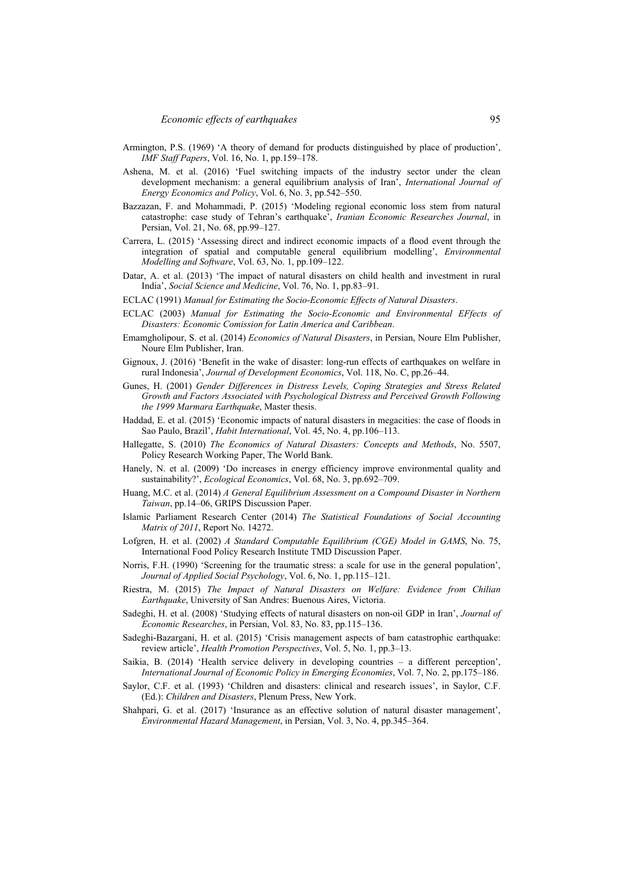- Armington, P.S. (1969) 'A theory of demand for products distinguished by place of production', *IMF Staff Papers*, Vol. 16, No. 1, pp.159–178.
- Ashena, M. et al. (2016) 'Fuel switching impacts of the industry sector under the clean development mechanism: a general equilibrium analysis of Iran', *International Journal of Energy Economics and Policy*, Vol. 6, No. 3, pp.542–550.
- Bazzazan, F. and Mohammadi, P. (2015) 'Modeling regional economic loss stem from natural catastrophe: case study of Tehran's earthquake', *Iranian Economic Researches Journal*, in Persian, Vol. 21, No. 68, pp.99–127.
- Carrera, L. (2015) 'Assessing direct and indirect economic impacts of a flood event through the integration of spatial and computable general equilibrium modelling', *Environmental Modelling and Software*, Vol. 63, No. 1, pp.109–122.
- Datar, A. et al. (2013) 'The impact of natural disasters on child health and investment in rural India', *Social Science and Medicine*, Vol. 76, No. 1, pp.83–91.
- ECLAC (1991) *Manual for Estimating the Socio-Economic Effects of Natural Disasters*.
- ECLAC (2003) *Manual for Estimating the Socio-Economic and Environmental EFfects of Disasters: Economic Comission for Latin America and Caribbean*.
- Emamgholipour, S. et al. (2014) *Economics of Natural Disasters*, in Persian, Noure Elm Publisher, Noure Elm Publisher, Iran.
- Gignoux, J. (2016) 'Benefit in the wake of disaster: long-run effects of earthquakes on welfare in rural Indonesia', *Journal of Development Economics*, Vol. 118, No. C, pp.26–44.
- Gunes, H. (2001) *Gender Differences in Distress Levels, Coping Strategies and Stress Related Growth and Factors Associated with Psychological Distress and Perceived Growth Following the 1999 Marmara Earthquake*, Master thesis.
- Haddad, E. et al. (2015) 'Economic impacts of natural disasters in megacities: the case of floods in Sao Paulo, Brazil', *Habit International*, Vol. 45, No. 4, pp.106–113.
- Hallegatte, S. (2010) *The Economics of Natural Disasters: Concepts and Methods*, No. 5507, Policy Research Working Paper, The World Bank.
- Hanely, N. et al. (2009) 'Do increases in energy efficiency improve environmental quality and sustainability?', *Ecological Economics*, Vol. 68, No. 3, pp.692–709.
- Huang, M.C. et al. (2014) *A General Equilibrium Assessment on a Compound Disaster in Northern Taiwan*, pp.14–06, GRIPS Discussion Paper.
- Islamic Parliament Research Center (2014) *The Statistical Foundations of Social Accounting Matrix of 2011*, Report No. 14272.
- Lofgren, H. et al. (2002) *A Standard Computable Equilibrium (CGE) Model in GAMS*, No. 75, International Food Policy Research Institute TMD Discussion Paper.
- Norris, F.H. (1990) 'Screening for the traumatic stress: a scale for use in the general population', *Journal of Applied Social Psychology*, Vol. 6, No. 1, pp.115–121.
- Riestra, M. (2015) *The Impact of Natural Disasters on Welfare: Evidence from Chilian Earthquake*, University of San Andres: Buenous Aires, Victoria.
- Sadeghi, H. et al. (2008) 'Studying effects of natural disasters on non-oil GDP in Iran', *Journal of Economic Researches*, in Persian, Vol. 83, No. 83, pp.115–136.
- Sadeghi-Bazargani, H. et al. (2015) 'Crisis management aspects of bam catastrophic earthquake: review article', *Health Promotion Perspectives*, Vol. 5, No. 1, pp.3–13.
- Saikia, B. (2014) 'Health service delivery in developing countries a different perception', *International Journal of Economic Policy in Emerging Economies*, Vol. 7, No. 2, pp.175–186.
- Saylor, C.F. et al. (1993) 'Children and disasters: clinical and research issues', in Saylor, C.F. (Ed.): *Children and Disasters*, Plenum Press, New York.
- Shahpari, G. et al. (2017) 'Insurance as an effective solution of natural disaster management', *Environmental Hazard Management*, in Persian, Vol. 3, No. 4, pp.345–364.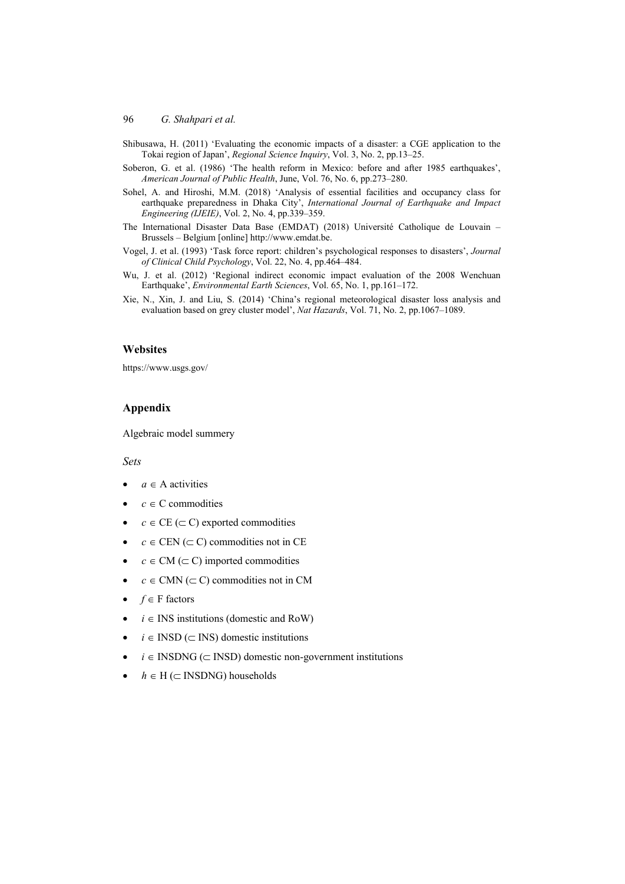- Shibusawa, H. (2011) 'Evaluating the economic impacts of a disaster: a CGE application to the Tokai region of Japan', *Regional Science Inquiry*, Vol. 3, No. 2, pp.13–25.
- Soberon, G. et al. (1986) 'The health reform in Mexico: before and after 1985 earthquakes', *American Journal of Public Health*, June, Vol. 76, No. 6, pp.273–280.
- Sohel, A. and Hiroshi, M.M. (2018) 'Analysis of essential facilities and occupancy class for earthquake preparedness in Dhaka City', *International Journal of Earthquake and Impact Engineering (IJEIE)*, Vol. 2, No. 4, pp.339–359.
- The International Disaster Data Base (EMDAT) (2018) Université Catholique de Louvain Brussels – Belgium [online] http://www.emdat.be.
- Vogel, J. et al. (1993) 'Task force report: children's psychological responses to disasters', *Journal of Clinical Child Psychology*, Vol. 22, No. 4, pp.464–484.
- Wu, J. et al. (2012) 'Regional indirect economic impact evaluation of the 2008 Wenchuan Earthquake', *Environmental Earth Sciences*, Vol. 65, No. 1, pp.161–172.
- Xie, N., Xin, J. and Liu, S. (2014) 'China's regional meteorological disaster loss analysis and evaluation based on grey cluster model', *Nat Hazards*, Vol. 71, No. 2, pp.1067–1089.

### **Websites**

https://www.usgs.gov/

## **Appendix**

Algebraic model summery

#### *Sets*

- $a \in A$  activities
- $c \in C$  commodities
- $c \in \text{CE } (\subset \text{C})$  exported commodities
- $c \in \text{CEN}$  ( $\subset \text{C}$ ) commodities not in CE
- $c \in CM \, (\subset C)$  imported commodities
- $c \in \text{CMN} (\subset \text{C})$  commodities not in CM
- $\bullet$  *f*  $\in$  **F** factors
- $i \in \text{INS}$  institutions (domestic and RoW)
- $i \in \text{IND} (\subset \text{INS})$  domestic institutions
- $i \in \text{INSDNG}$  ( $\subset \text{IND}$ ) domestic non-government institutions
- $h \in H$  ( $\subset$  INSDNG) households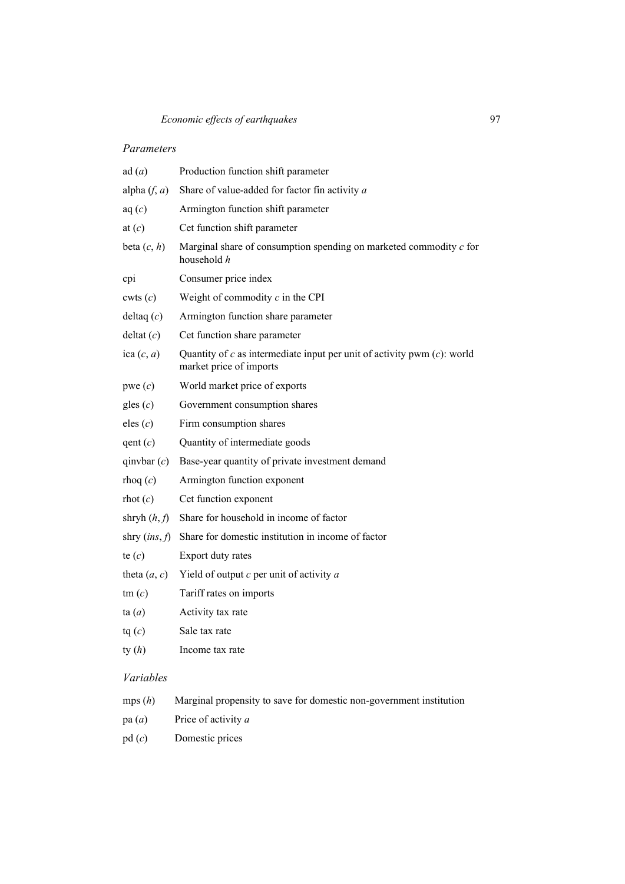## *Parameters*

| ad(a)            | Production function shift parameter                                                                     |
|------------------|---------------------------------------------------------------------------------------------------------|
| alpha $(f, a)$   | Share of value-added for factor fin activity $a$                                                        |
| aq(c)            | Armington function shift parameter                                                                      |
| at $(c)$         | Cet function shift parameter                                                                            |
| beta $(c, h)$    | Marginal share of consumption spending on marketed commodity $c$ for<br>household h                     |
| cpi              | Consumer price index                                                                                    |
| $\text{cuts}(c)$ | Weight of commodity $c$ in the CPI                                                                      |
| deltaq $(c)$     | Armington function share parameter                                                                      |
| delta(c)         | Cet function share parameter                                                                            |
| ica $(c, a)$     | Quantity of $c$ as intermediate input per unit of activity pwm $(c)$ : world<br>market price of imports |
| pwe (c)          | World market price of exports                                                                           |
| gles $(c)$       | Government consumption shares                                                                           |
| eles $(c)$       | Firm consumption shares                                                                                 |
| qent(c)          | Quantity of intermediate goods                                                                          |
| qinvbar $(c)$    | Base-year quantity of private investment demand                                                         |
| rhoq(c)          | Armington function exponent                                                                             |
| $\text{rhot}(c)$ | Cet function exponent                                                                                   |
| shryh $(h, f)$   | Share for household in income of factor                                                                 |
| shry $(ins, f)$  | Share for domestic institution in income of factor                                                      |
| te $(c)$         | Export duty rates                                                                                       |
| theta $(a, c)$   | Yield of output $c$ per unit of activity $a$                                                            |
| $\tan(c)$        | Tariff rates on imports                                                                                 |
| ta(a)            | Activity tax rate                                                                                       |
| tq(c)            | Sale tax rate                                                                                           |
| ty $(h)$         | Income tax rate                                                                                         |

## *Variables*

| Marginal propensity to save for domestic non-government institution | mps(h) |  |  |  |  |  |  |
|---------------------------------------------------------------------|--------|--|--|--|--|--|--|
|---------------------------------------------------------------------|--------|--|--|--|--|--|--|

- pa (*a*) Price of activity *a*
- pd (*c*) Domestic prices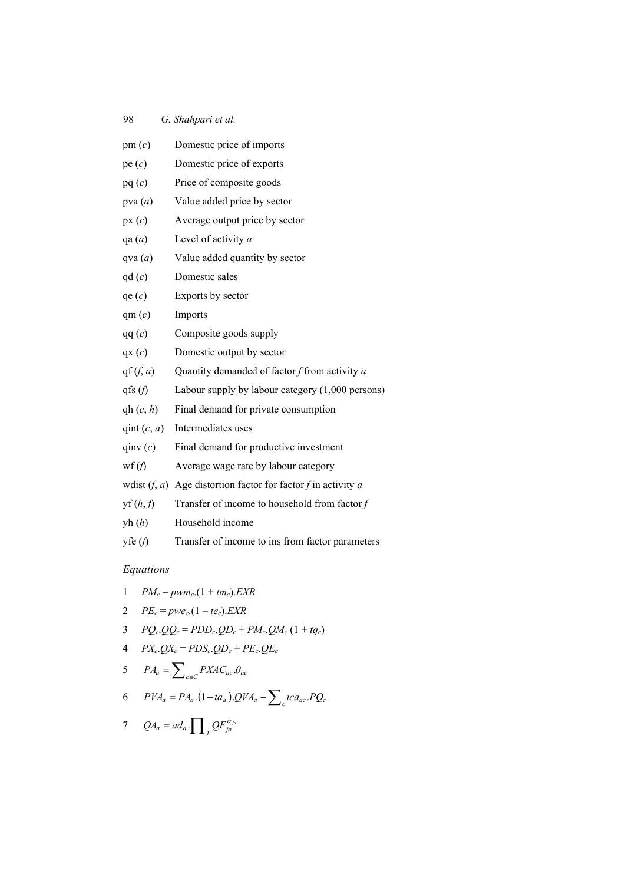| pm(c)                                | Domestic price of imports                                       |
|--------------------------------------|-----------------------------------------------------------------|
| pe(c)                                | Domestic price of exports                                       |
| pq(c)                                | Price of composite goods                                        |
| pva $(a)$                            | Value added price by sector                                     |
| px(c)                                | Average output price by sector                                  |
| qa $(a)$                             | Level of activity a                                             |
| qva $(a)$                            | Value added quantity by sector                                  |
| qd(c)                                | Domestic sales                                                  |
| qe(c)                                | Exports by sector                                               |
| qm(c)                                | Imports                                                         |
| qq(c)                                | Composite goods supply                                          |
| qx(c)                                | Domestic output by sector                                       |
| $\operatorname{qf}(f, a)$            | Quantity demanded of factor $f$ from activity $a$               |
| qfs $(f)$                            | Labour supply by labour category (1,000 persons)                |
| $\Phi(c, h)$                         | Final demand for private consumption                            |
| qint $(c, a)$                        | Intermediates uses                                              |
| qinv(c)                              | Final demand for productive investment                          |
| wf $(f)$                             | Average wage rate by labour category                            |
|                                      | wdist $(f, a)$ Age distortion factor for factor f in activity a |
| $\mathbf{y}(\mathbf{h}, \mathbf{f})$ | Transfer of income to household from factor $f$                 |
| yh(h)                                | Household income                                                |
| yfe(f)                               | Transfer of income to ins from factor parameters                |

# *Equations*

$$
1 \qquad PM_c = pwm_c. (1 + tm_c). EXP
$$

$$
2\qquadPE_c = pwe_c. (1 - te_c). EXP
$$

$$
3 \qquad PQ_c \cdot QQ_c = PDD_c \cdot QD_c + PM_c \cdot QM_c \left(1 + tq_c\right)
$$

$$
4 \quad PX_c.QX_c = PDS_c.QD_c + PE_c.QE_c
$$

$$
PA_a = \sum_{c \in C} PXAC_{ac}.\theta_{ac}
$$

$$
6 \qquad PVA_a = PA_a.(1-ta_a).QVA_a - \sum_c ica_{ac}.PQ_c
$$

$$
7 \quad QA_a = ad_a \cdot \prod_f QF_{fa}^{\alpha_{fa}}
$$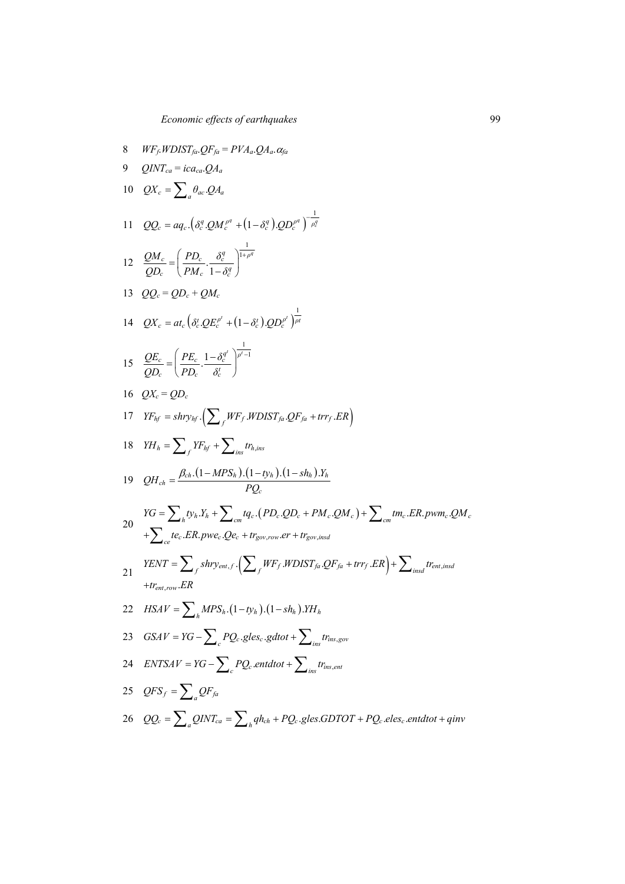8 
$$
WF_F WDIST_{f0} \cdot QF_{f0} = PVA_a \cdot QA_a
$$
  
\n9  $QINT_{ca} = ica_{ca} \cdot QA_a$   
\n10  $QX_c = \sum_a \theta_{ac} \cdot QA_d$   
\n11  $QQ_c = aq_c \cdot (\delta_c^q \cdot QM_c^{p^q} + (1 - \delta_c^q) \cdot QD_c^{p^q})^{-\frac{1}{p^q}}$   
\n12  $\frac{QM_c}{QD_c} = \left(\frac{PD_c}{PM_c} \cdot \frac{\delta_c^q}{1 - \delta_c^q}\right)^{\frac{1}{1 + p^q}}$   
\n13  $QQ_c = QD_c + QM_c$   
\n14  $QX_c = at_c (\delta_c^c \cdot QE_c^{p^q} + (1 - \delta_c^c) \cdot QD_c^{p^q})^{-\frac{1}{p^q}}$   
\n15  $\frac{QE_c}{QD_c} = \left(\frac{PE_c}{PD_c} \cdot \frac{1 - \delta_c^{q^q}}{\delta_c^q}\right)^{\frac{1}{p^r - 1}}$   
\n16  $QX_c = QD_c$   
\n17  $YF_{hf} = shry_{hf} \cdot \left(\sum_f WF_f WDIST_{fa} \cdot QF_{fa} + trr_f \cdot ER\right)$   
\n18  $YH_h = \sum_f YF_{hf} + \sum_{ins} tr_{h,ins}$   
\n19  $QH_{ch} = \frac{\beta_{ch} \cdot (1 - MPS_h) \cdot (1 - ty_h) \cdot (1 - y_h) \cdot T_h}{PQ_c}$   
\n20  $YG = \sum_h ty_h Y_h + \sum_{ens} tr_{fa,ins} (PD_c \cdot QD_c + PM_c \cdot QM_c) + \sum_{con} trm_c \cdot ER, pwm_c \cdot QM_c$   
\n $+ \sum_{c\alpha} te_c \cdot ER, pwe_c \cdot Qe_c + tr_{gev,row} \cdot er + tr_{gev,ind}$   
\n21  $YENT = \sum_f shry_{out.f} \cdot \left(\sum_f WF_f \cdot WDIST_{fa} \cdot QF_{fa} + trr_f \cdot ER\right) + \sum_{insd} tr_{an,ind}$   
\n22  $HSAV = \sum_h MPS_h \cdot (1 - ty_h) \cdot (1 - sh_h) \cdot YH_h$   
\n23  $GSIV =$